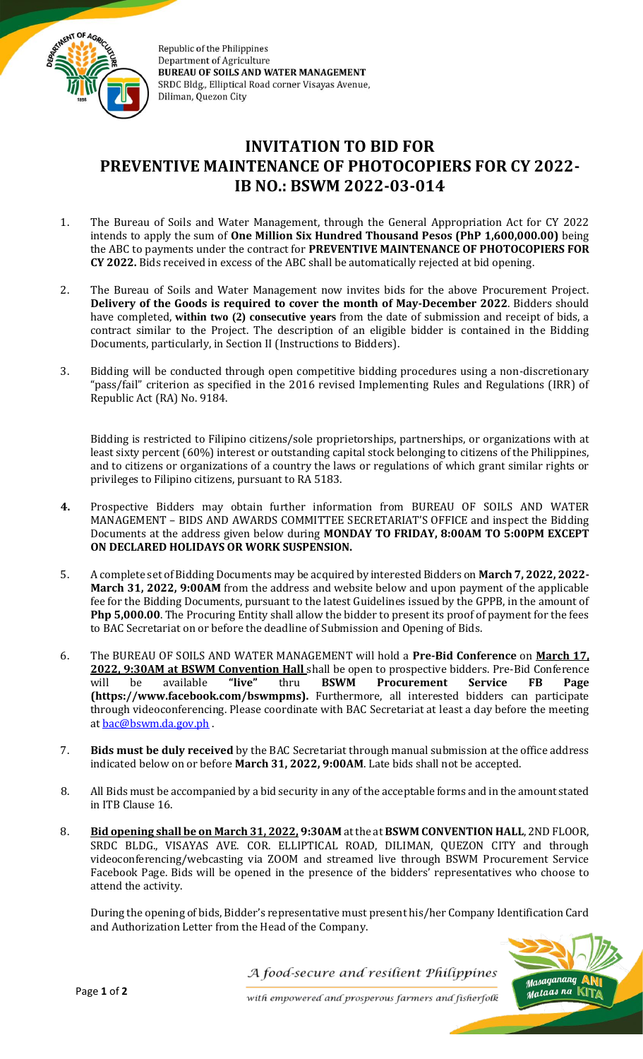

Republic of the Philippines **Department of Agriculture BUREAU OF SOILS AND WATER MANAGEMENT** SRDC Bldg., Elliptical Road corner Visayas Avenue, Diliman, Quezon City

## **INVITATION TO BID FOR PREVENTIVE MAINTENANCE OF PHOTOCOPIERS FOR CY 2022- IB NO.: BSWM 2022-03-014**

- 1. The Bureau of Soils and Water Management, through the General Appropriation Act for CY 2022 intends to apply the sum of **One Million Six Hundred Thousand Pesos (PhP 1,600,000.00)** being the ABC to payments under the contract for **PREVENTIVE MAINTENANCE OF PHOTOCOPIERS FOR CY 2022.** Bids received in excess of the ABC shall be automatically rejected at bid opening.
- 2. The Bureau of Soils and Water Management now invites bids for the above Procurement Project. **Delivery of the Goods is required to cover the month of May-December 2022**. Bidders should have completed, **within two (2) consecutive years** from the date of submission and receipt of bids, a contract similar to the Project. The description of an eligible bidder is contained in the Bidding Documents, particularly, in Section II (Instructions to Bidders).
- 3. Bidding will be conducted through open competitive bidding procedures using a non-discretionary "pass/fail" criterion as specified in the 2016 revised Implementing Rules and Regulations (IRR) of Republic Act (RA) No. 9184.

Bidding is restricted to Filipino citizens/sole proprietorships, partnerships, or organizations with at least sixty percent (60%) interest or outstanding capital stock belonging to citizens of the Philippines, and to citizens or organizations of a country the laws or regulations of which grant similar rights or privileges to Filipino citizens, pursuant to RA 5183.

- **4.** Prospective Bidders may obtain further information from BUREAU OF SOILS AND WATER MANAGEMENT – BIDS AND AWARDS COMMITTEE SECRETARIAT'S OFFICE and inspect the Bidding Documents at the address given below during **MONDAY TO FRIDAY, 8:00AM TO 5:00PM EXCEPT ON DECLARED HOLIDAYS OR WORK SUSPENSION.**
- 5. A complete set of Bidding Documents may be acquired by interested Bidders on **March 7, 2022, 2022- March 31, 2022, 9:00AM** from the address and website below and upon payment of the applicable fee for the Bidding Documents, pursuant to the latest Guidelines issued by the GPPB, in the amount of **Php 5,000.00**. The Procuring Entity shall allow the bidder to present its proof of payment for the fees to BAC Secretariat on or before the deadline of Submission and Opening of Bids.
- 6. The BUREAU OF SOILS AND WATER MANAGEMENT will hold a **Pre-Bid Conference** on **March 17, 2022, 9:30AM at BSWM Convention Hall** shall be open to prospective bidders. Pre-Bid Conference will be available **"live"** thru **BSWM Procurement Service FB Page (https://www.facebook.com/bswmpms).** Furthermore, all interested bidders can participate through videoconferencing. Please coordinate with BAC Secretariat at least a day before the meeting a[t bac@bswm.da.gov.ph](mailto:bac@bswm.da.gov.ph) .
- 7. **Bids must be duly received** by the BAC Secretariat through manual submission at the office address indicated below on or before **March 31, 2022, 9:00AM**. Late bids shall not be accepted.
- 8. All Bids must be accompanied by a bid security in any of the acceptable forms and in the amount stated in ITB Clause 16.
- 8. **Bid opening shall be on March 31, 2022, 9:30AM** at the at **BSWM CONVENTION HALL**, 2ND FLOOR, SRDC BLDG., VISAYAS AVE. COR. ELLIPTICAL ROAD, DILIMAN, QUEZON CITY and through videoconferencing/webcasting via ZOOM and streamed live through BSWM Procurement Service Facebook Page. Bids will be opened in the presence of the bidders' representatives who choose to attend the activity.

During the opening of bids, Bidder's representative must present his/her Company Identification Card and Authorization Letter from the Head of the Company.



A food-secure and resilient Philippines

with empowered and prosperous farmers and fisherfolk